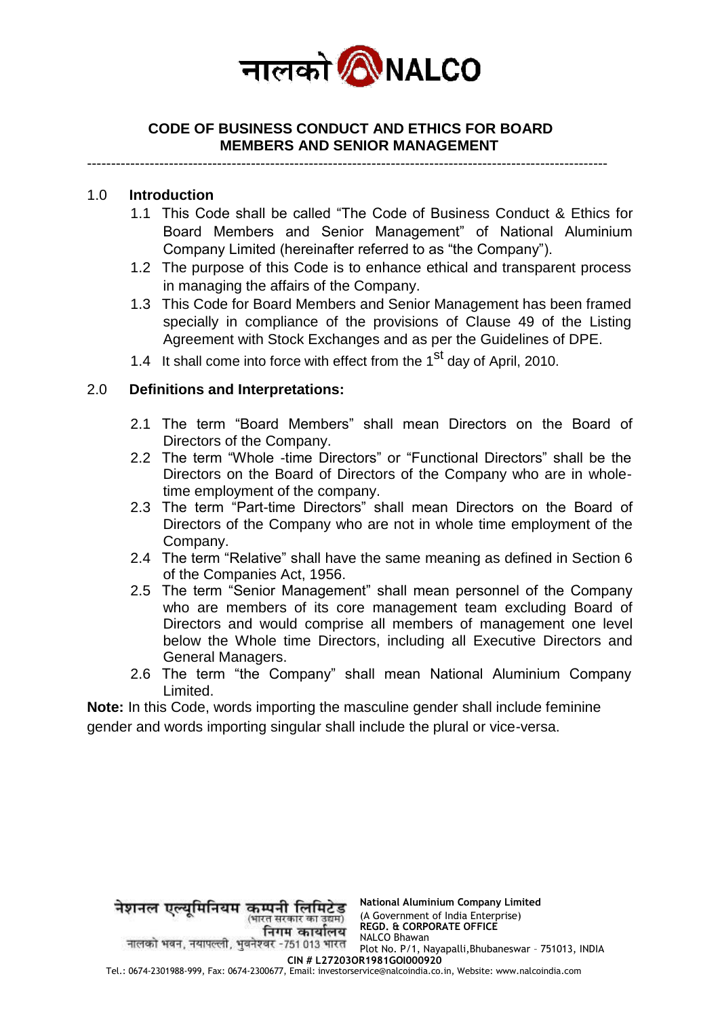

#### **CODE OF BUSINESS CONDUCT AND ETHICS FOR BOARD MEMBERS AND SENIOR MANAGEMENT**

------------------------------------------------------------------------------------------------------------

### 1.0 **Introduction**

- 1.1 This Code shall be called "The Code of Business Conduct & Ethics for Board Members and Senior Management" of National Aluminium Company Limited (hereinafter referred to as "the Company").
- 1.2 The purpose of this Code is to enhance ethical and transparent process in managing the affairs of the Company.
- 1.3 This Code for Board Members and Senior Management has been framed specially in compliance of the provisions of Clause 49 of the Listing Agreement with Stock Exchanges and as per the Guidelines of DPE.
- 1.4 It shall come into force with effect from the 1<sup>st</sup> day of April, 2010.

### 2.0 **Definitions and Interpretations:**

- 2.1 The term "Board Members" shall mean Directors on the Board of Directors of the Company.
- 2.2 The term "Whole -time Directors" or "Functional Directors" shall be the Directors on the Board of Directors of the Company who are in wholetime employment of the company.
- 2.3 The term "Part-time Directors" shall mean Directors on the Board of Directors of the Company who are not in whole time employment of the Company.
- 2.4 The term "Relative" shall have the same meaning as defined in Section 6 of the Companies Act, 1956.
- 2.5 The term "Senior Management" shall mean personnel of the Company who are members of its core management team excluding Board of Directors and would comprise all members of management one level below the Whole time Directors, including all Executive Directors and General Managers.
- 2.6 The term "the Company" shall mean National Aluminium Company Limited.

**Note:** In this Code, words importing the masculine gender shall include feminine gender and words importing singular shall include the plural or vice-versa.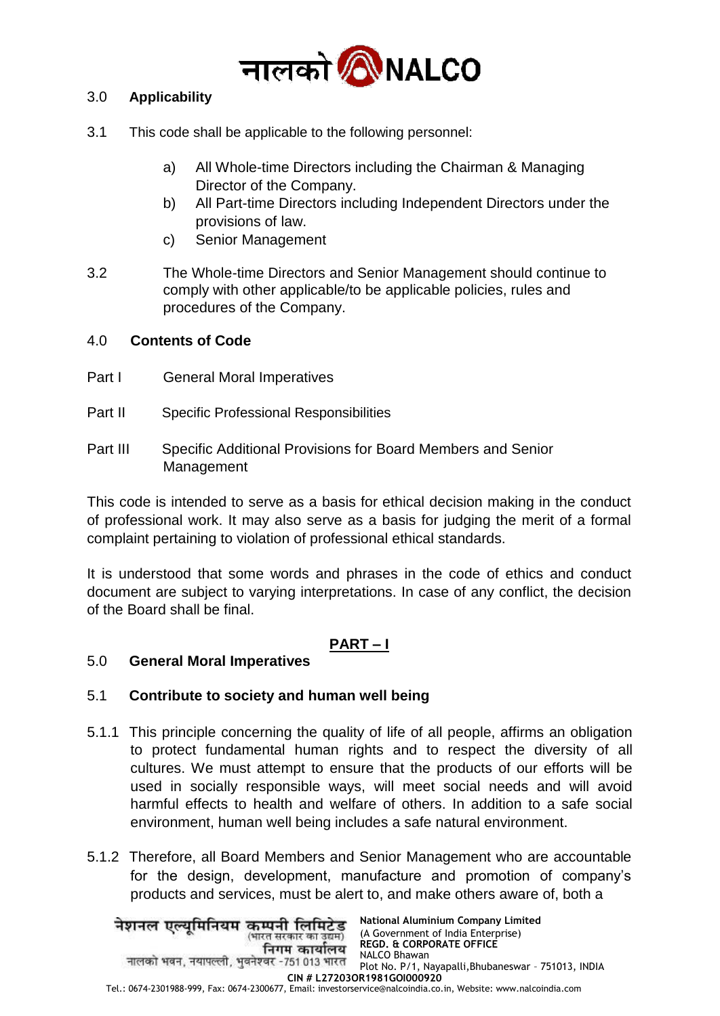

# 3.0 **Applicability**

- 3.1 This code shall be applicable to the following personnel:
	- a) All Whole-time Directors including the Chairman & Managing Director of the Company.
	- b) All Part-time Directors including Independent Directors under the provisions of law.
	- c) Senior Management
- 3.2 The Whole-time Directors and Senior Management should continue to comply with other applicable/to be applicable policies, rules and procedures of the Company.

# 4.0 **Contents of Code**

- Part I General Moral Imperatives
- Part II Specific Professional Responsibilities
- Part III Specific Additional Provisions for Board Members and Senior Management

This code is intended to serve as a basis for ethical decision making in the conduct of professional work. It may also serve as a basis for judging the merit of a formal complaint pertaining to violation of professional ethical standards.

It is understood that some words and phrases in the code of ethics and conduct document are subject to varying interpretations. In case of any conflict, the decision of the Board shall be final.

# **PART – I**

# 5.0 **General Moral Imperatives**

# 5.1 **Contribute to society and human well being**

- 5.1.1 This principle concerning the quality of life of all people, affirms an obligation to protect fundamental human rights and to respect the diversity of all cultures. We must attempt to ensure that the products of our efforts will be used in socially responsible ways, will meet social needs and will avoid harmful effects to health and welfare of others. In addition to a safe social environment, human well being includes a safe natural environment.
- 5.1.2 Therefore, all Board Members and Senior Management who are accountable for the design, development, manufacture and promotion of company's products and services, must be alert to, and make others aware of, both a

**National Aluminium Company Limited** नेशनल एल्यमिनियम कम्पनी लिमिटेड (A Government of India Enterprise) (भारत सरकार का उद्यम). **REGD. & CORPORATE OFFICE** निगम कार्यालय NALCO Bhawan नालको भवन, नयापल्ली, भुवनेश्वर -751 013 भारत Plot No. P/1, Nayapalli,Bhubaneswar – 751013, INDIA **CIN # L27203OR1981GOI000920** Tel.: 0674-2301988-999, Fax: 0674-2300677, Email: investorservice@nalcoindia.co.in, Website: www.nalcoindia.com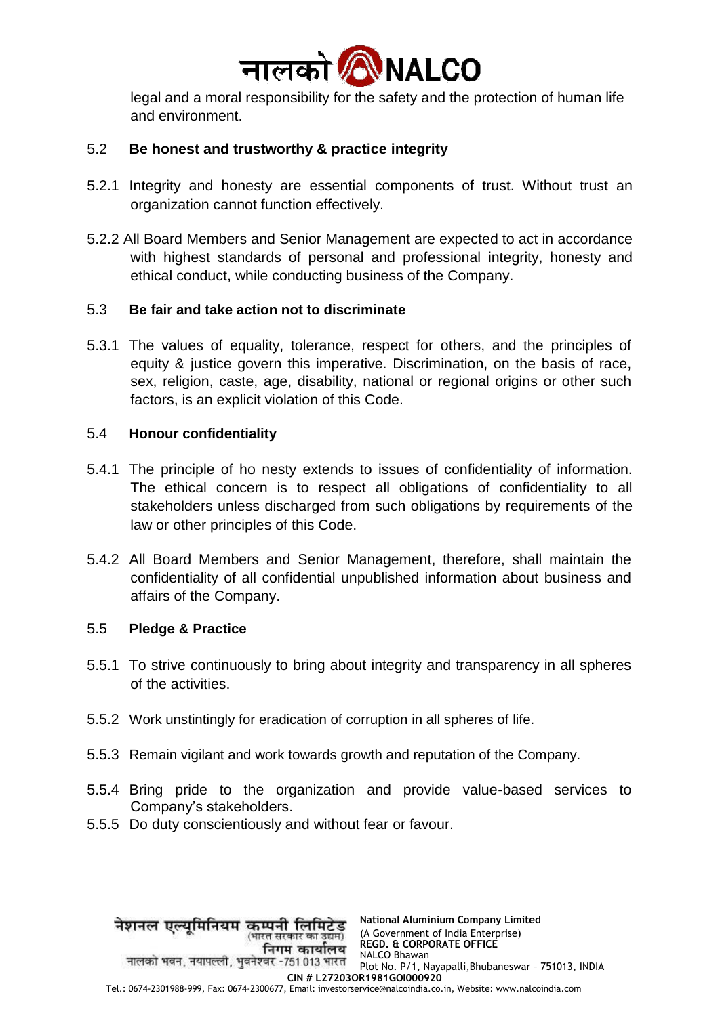

legal and a moral responsibility for the safety and the protection of human life and environment.

### 5.2 **Be honest and trustworthy & practice integrity**

- 5.2.1 Integrity and honesty are essential components of trust. Without trust an organization cannot function effectively.
- 5.2.2 All Board Members and Senior Management are expected to act in accordance with highest standards of personal and professional integrity, honesty and ethical conduct, while conducting business of the Company.

### 5.3 **Be fair and take action not to discriminate**

5.3.1 The values of equality, tolerance, respect for others, and the principles of equity & justice govern this imperative. Discrimination, on the basis of race, sex, religion, caste, age, disability, national or regional origins or other such factors, is an explicit violation of this Code.

#### 5.4 **Honour confidentiality**

- 5.4.1 The principle of ho nesty extends to issues of confidentiality of information. The ethical concern is to respect all obligations of confidentiality to all stakeholders unless discharged from such obligations by requirements of the law or other principles of this Code.
- 5.4.2 All Board Members and Senior Management, therefore, shall maintain the confidentiality of all confidential unpublished information about business and affairs of the Company.

#### 5.5 **Pledge & Practice**

- 5.5.1 To strive continuously to bring about integrity and transparency in all spheres of the activities.
- 5.5.2 Work unstintingly for eradication of corruption in all spheres of life.
- 5.5.3 Remain vigilant and work towards growth and reputation of the Company.
- 5.5.4 Bring pride to the organization and provide value-based services to Company's stakeholders.
- 5.5.5 Do duty conscientiously and without fear or favour.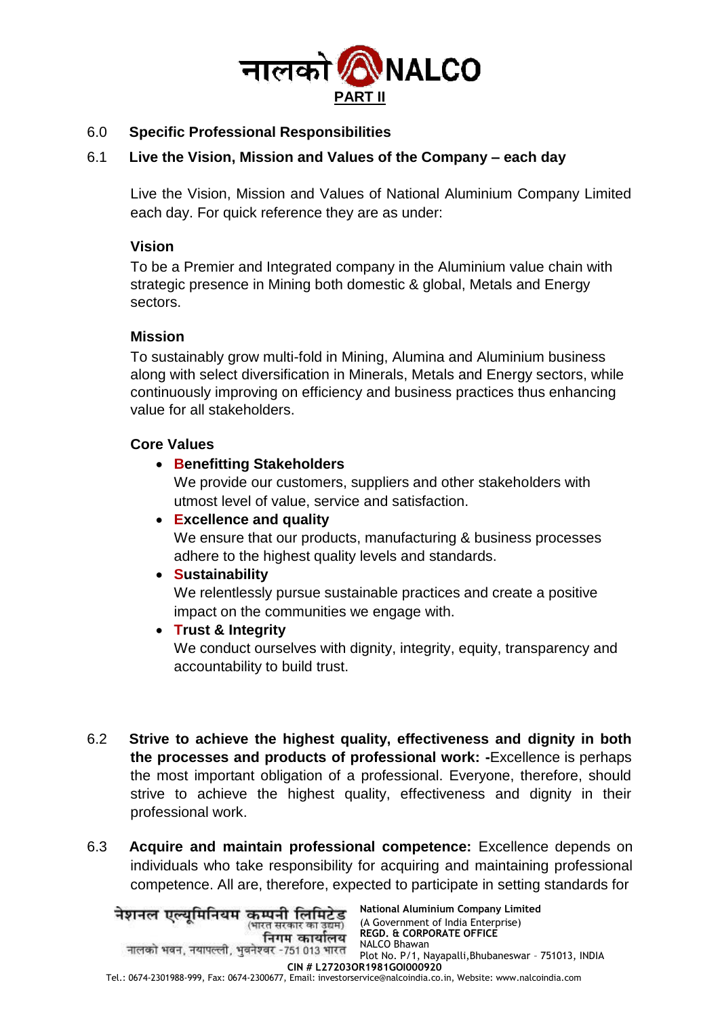

# 6.0 **Specific Professional Responsibilities**

# 6.1 **Live the Vision, Mission and Values of the Company – each day**

Live the Vision, Mission and Values of National Aluminium Company Limited each day. For quick reference they are as under:

# **Vision**

To be a Premier and Integrated company in the Aluminium value chain with strategic presence in Mining both domestic & global, Metals and Energy sectors.

# **Mission**

To sustainably grow multi-fold in Mining, Alumina and Aluminium business along with select diversification in Minerals, Metals and Energy sectors, while continuously improving on efficiency and business practices thus enhancing value for all stakeholders.

# **Core Values**

# **Benefitting Stakeholders**

We provide our customers, suppliers and other stakeholders with utmost level of value, service and satisfaction.

# **Excellence and quality**

We ensure that our products, manufacturing & business processes adhere to the highest quality levels and standards.

# **Sustainability**

We relentlessly pursue sustainable practices and create a positive impact on the communities we engage with.

**Trust & Integrity**

We conduct ourselves with dignity, integrity, equity, transparency and accountability to build trust.

- 6.2 **Strive to achieve the highest quality, effectiveness and dignity in both the processes and products of professional work: -**Excellence is perhaps the most important obligation of a professional. Everyone, therefore, should strive to achieve the highest quality, effectiveness and dignity in their professional work.
- 6.3 **Acquire and maintain professional competence:** Excellence depends on individuals who take responsibility for acquiring and maintaining professional competence. All are, therefore, expected to participate in setting standards for

नेशनल एल्यमिनियम कम्पनी लिमिटेड भारत सरकार का उद्यम) निगम कार्यालय नालको भवन, नयापल्ली, भुवनेश्वर -751 013 भारत

Tel.: 0674-2301988-999, Fax: 0674-2300677, Email: investorservice@nalcoindia.co.in, Website: www.nalcoindia.com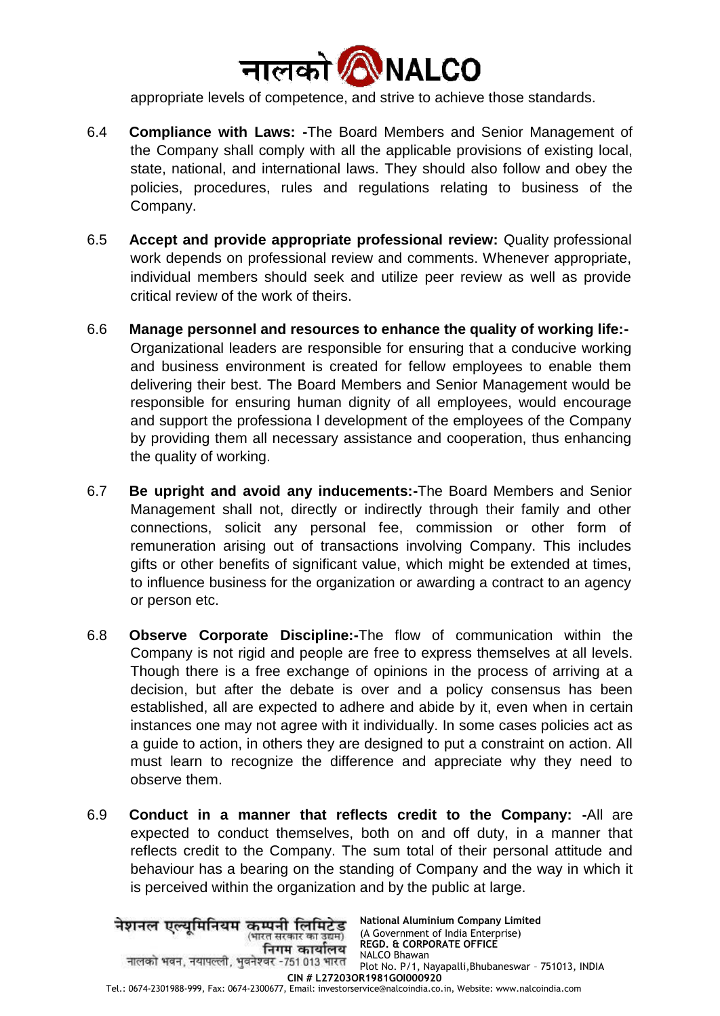

appropriate levels of competence, and strive to achieve those standards.

- 6.4 **Compliance with Laws: -**The Board Members and Senior Management of the Company shall comply with all the applicable provisions of existing local, state, national, and international laws. They should also follow and obey the policies, procedures, rules and regulations relating to business of the Company.
- 6.5 **Accept and provide appropriate professional review:** Quality professional work depends on professional review and comments. Whenever appropriate, individual members should seek and utilize peer review as well as provide critical review of the work of theirs.
- 6.6 **Manage personnel and resources to enhance the quality of working life:-** Organizational leaders are responsible for ensuring that a conducive working and business environment is created for fellow employees to enable them delivering their best. The Board Members and Senior Management would be responsible for ensuring human dignity of all employees, would encourage and support the professiona l development of the employees of the Company by providing them all necessary assistance and cooperation, thus enhancing the quality of working.
- 6.7 **Be upright and avoid any inducements:-**The Board Members and Senior Management shall not, directly or indirectly through their family and other connections, solicit any personal fee, commission or other form of remuneration arising out of transactions involving Company. This includes gifts or other benefits of significant value, which might be extended at times, to influence business for the organization or awarding a contract to an agency or person etc.
- 6.8 **Observe Corporate Discipline:-**The flow of communication within the Company is not rigid and people are free to express themselves at all levels. Though there is a free exchange of opinions in the process of arriving at a decision, but after the debate is over and a policy consensus has been established, all are expected to adhere and abide by it, even when in certain instances one may not agree with it individually. In some cases policies act as a guide to action, in others they are designed to put a constraint on action. All must learn to recognize the difference and appreciate why they need to observe them.
- 6.9 **Conduct in a manner that reflects credit to the Company: -**All are expected to conduct themselves, both on and off duty, in a manner that reflects credit to the Company. The sum total of their personal attitude and behaviour has a bearing on the standing of Company and the way in which it is perceived within the organization and by the public at large.

**National Aluminium Company Limited** नेशनल एल्यमिनियम कम्पनी लिमिटेड (A Government of India Enterprise) (भारत सरकार का उद्यम) **REGD. & CORPORATE OFFICE** निगम कार्यालय NALCO Bhawan नालको भवन, नयापल्ली, भुवनेश्वर -751 013 भारत Plot No. P/1, Nayapalli,Bhubaneswar – 751013, INDIA **CIN # L27203OR1981GOI000920** Tel.: 0674-2301988-999, Fax: 0674-2300677, Email: investorservice@nalcoindia.co.in, Website: www.nalcoindia.com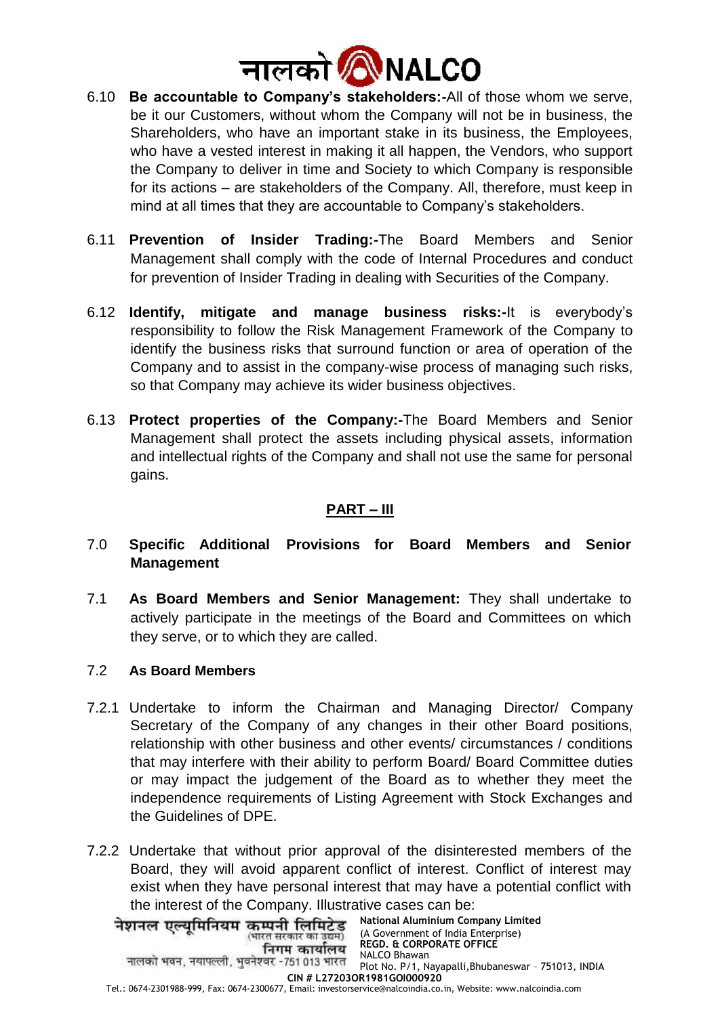

- 6.10 **Be accountable to Company's stakeholders:-**All of those whom we serve, be it our Customers, without whom the Company will not be in business, the Shareholders, who have an important stake in its business, the Employees, who have a vested interest in making it all happen, the Vendors, who support the Company to deliver in time and Society to which Company is responsible for its actions – are stakeholders of the Company. All, therefore, must keep in mind at all times that they are accountable to Company's stakeholders.
- 6.11 **Prevention of Insider Trading:-**The Board Members and Senior Management shall comply with the code of Internal Procedures and conduct for prevention of Insider Trading in dealing with Securities of the Company.
- 6.12 **Identify, mitigate and manage business risks:-**It is everybody's responsibility to follow the Risk Management Framework of the Company to identify the business risks that surround function or area of operation of the Company and to assist in the company-wise process of managing such risks, so that Company may achieve its wider business objectives.
- 6.13 **Protect properties of the Company:-**The Board Members and Senior Management shall protect the assets including physical assets, information and intellectual rights of the Company and shall not use the same for personal gains.

# **PART – III**

# 7.0 **Specific Additional Provisions for Board Members and Senior Management**

7.1 **As Board Members and Senior Management:** They shall undertake to actively participate in the meetings of the Board and Committees on which they serve, or to which they are called.

# 7.2 **As Board Members**

7.2.1 Undertake to inform the Chairman and Managing Director/ Company Secretary of the Company of any changes in their other Board positions, relationship with other business and other events/ circumstances / conditions that may interfere with their ability to perform Board/ Board Committee duties or may impact the judgement of the Board as to whether they meet the independence requirements of Listing Agreement with Stock Exchanges and the Guidelines of DPE.

7.2.2 Undertake that without prior approval of the disinterested members of the Board, they will avoid apparent conflict of interest. Conflict of interest may exist when they have personal interest that may have a potential conflict with the interest of the Company. Illustrative cases can be:

**National Aluminium Company Limited** (A Government of India Enterprise) (भारत सरकार का उद्यम) **REGD. & CORPORATE OFFICE** निगम कार्यालय NALCO Bhawan नालको भवन, नयापल्ली, भुवनेश्वर -751 013 भारत Plot No. P/1, Nayapalli,Bhubaneswar – 751013, INDIA **CIN # L27203OR1981GOI000920** Tel.: 0674-2301988-999, Fax: 0674-2300677, Email: investorservice@nalcoindia.co.in, Website: www.nalcoindia.com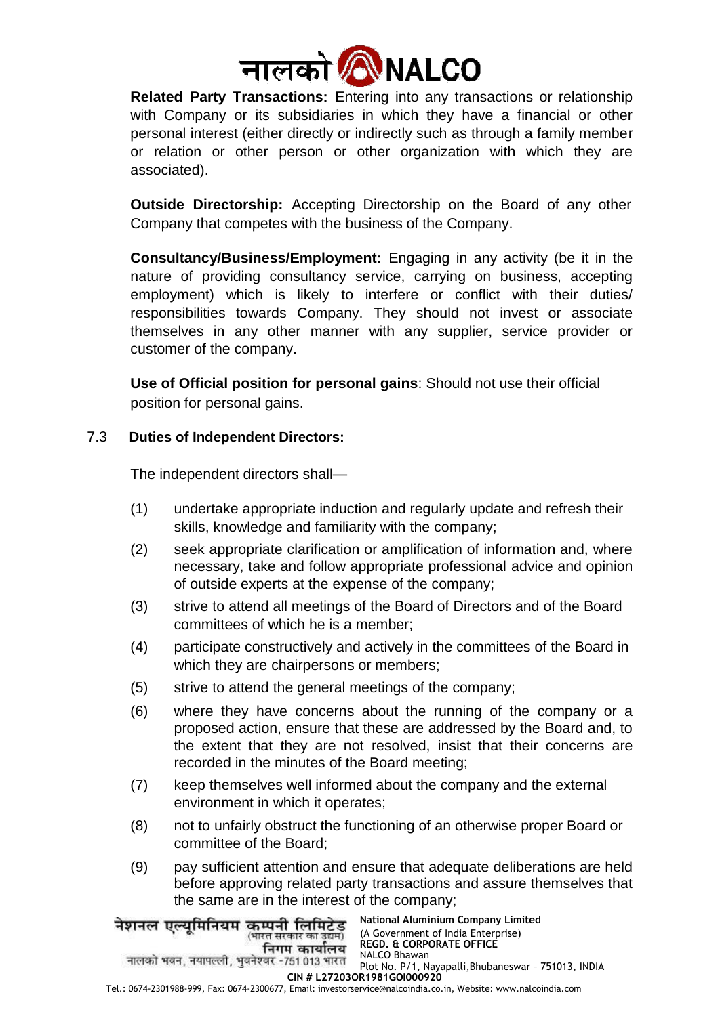

**Related Party Transactions:** Entering into any transactions or relationship with Company or its subsidiaries in which they have a financial or other personal interest (either directly or indirectly such as through a family member or relation or other person or other organization with which they are associated).

**Outside Directorship:** Accepting Directorship on the Board of any other Company that competes with the business of the Company.

**Consultancy/Business/Employment:** Engaging in any activity (be it in the nature of providing consultancy service, carrying on business, accepting employment) which is likely to interfere or conflict with their duties/ responsibilities towards Company. They should not invest or associate themselves in any other manner with any supplier, service provider or customer of the company.

**Use of Official position for personal gains**: Should not use their official position for personal gains.

# 7.3 **Duties of Independent Directors:**

The independent directors shall—

- (1) undertake appropriate induction and regularly update and refresh their skills, knowledge and familiarity with the company;
- (2) seek appropriate clarification or amplification of information and, where necessary, take and follow appropriate professional advice and opinion of outside experts at the expense of the company;
- (3) strive to attend all meetings of the Board of Directors and of the Board committees of which he is a member;
- (4) participate constructively and actively in the committees of the Board in which they are chairpersons or members;
- (5) strive to attend the general meetings of the company;
- (6) where they have concerns about the running of the company or a proposed action, ensure that these are addressed by the Board and, to the extent that they are not resolved, insist that their concerns are recorded in the minutes of the Board meeting;
- (7) keep themselves well informed about the company and the external environment in which it operates;
- (8) not to unfairly obstruct the functioning of an otherwise proper Board or committee of the Board;
- (9) pay sufficient attention and ensure that adequate deliberations are held before approving related party transactions and assure themselves that the same are in the interest of the company;

**National Aluminium Company Limited** नेशनल एल्यमिनियम कम्पनी लिमिटेड (A Government of India Enterprise) (भारत सरकार का उद्यम) **REGD. & CORPORATE OFFICE** निगम कार्यालय NALCO Bhawan नालको भवन, नयापल्ली, भुवनेश्वर -751 013 भारत Plot No. P/1, Nayapalli,Bhubaneswar – 751013, INDIA **CIN # L27203OR1981GOI000920** Tel.: 0674-2301988-999, Fax: 0674-2300677, Email: investorservice@nalcoindia.co.in, Website: www.nalcoindia.com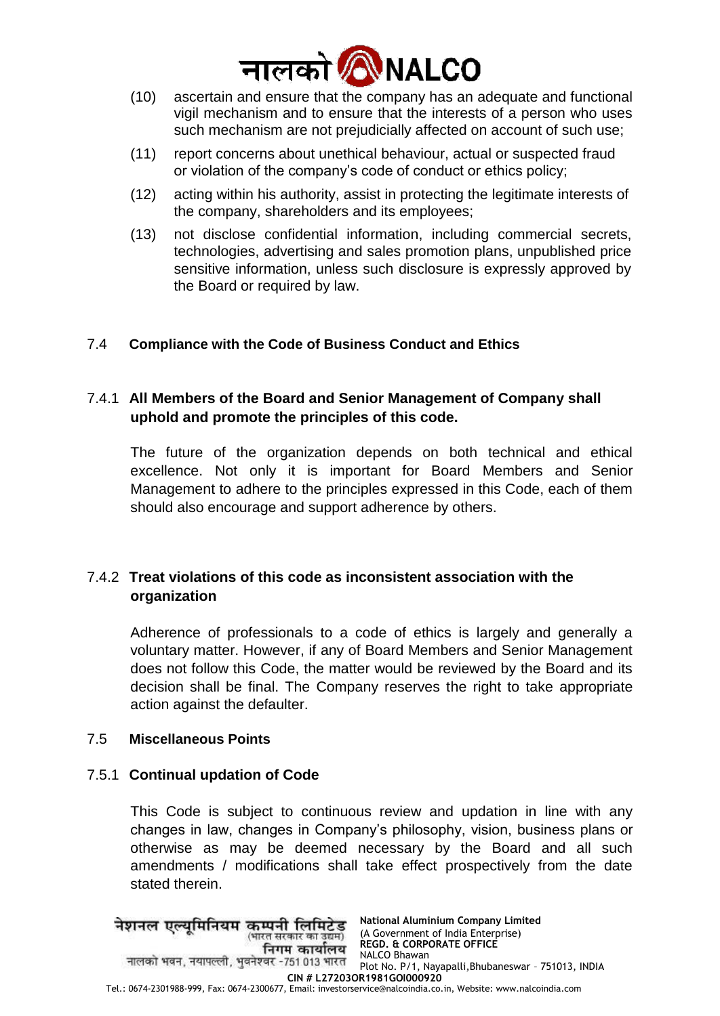

- (10) ascertain and ensure that the company has an adequate and functional vigil mechanism and to ensure that the interests of a person who uses such mechanism are not prejudicially affected on account of such use;
- (11) report concerns about unethical behaviour, actual or suspected fraud or violation of the company's code of conduct or ethics policy;
- (12) acting within his authority, assist in protecting the legitimate interests of the company, shareholders and its employees;
- (13) not disclose confidential information, including commercial secrets, technologies, advertising and sales promotion plans, unpublished price sensitive information, unless such disclosure is expressly approved by the Board or required by law.

# 7.4 **Compliance with the Code of Business Conduct and Ethics**

# 7.4.1 **All Members of the Board and Senior Management of Company shall uphold and promote the principles of this code.**

The future of the organization depends on both technical and ethical excellence. Not only it is important for Board Members and Senior Management to adhere to the principles expressed in this Code, each of them should also encourage and support adherence by others.

# 7.4.2 **Treat violations of this code as inconsistent association with the organization**

Adherence of professionals to a code of ethics is largely and generally a voluntary matter. However, if any of Board Members and Senior Management does not follow this Code, the matter would be reviewed by the Board and its decision shall be final. The Company reserves the right to take appropriate action against the defaulter.

# 7.5 **Miscellaneous Points**

# 7.5.1 **Continual updation of Code**

This Code is subject to continuous review and updation in line with any changes in law, changes in Company's philosophy, vision, business plans or otherwise as may be deemed necessary by the Board and all such amendments / modifications shall take effect prospectively from the date stated therein.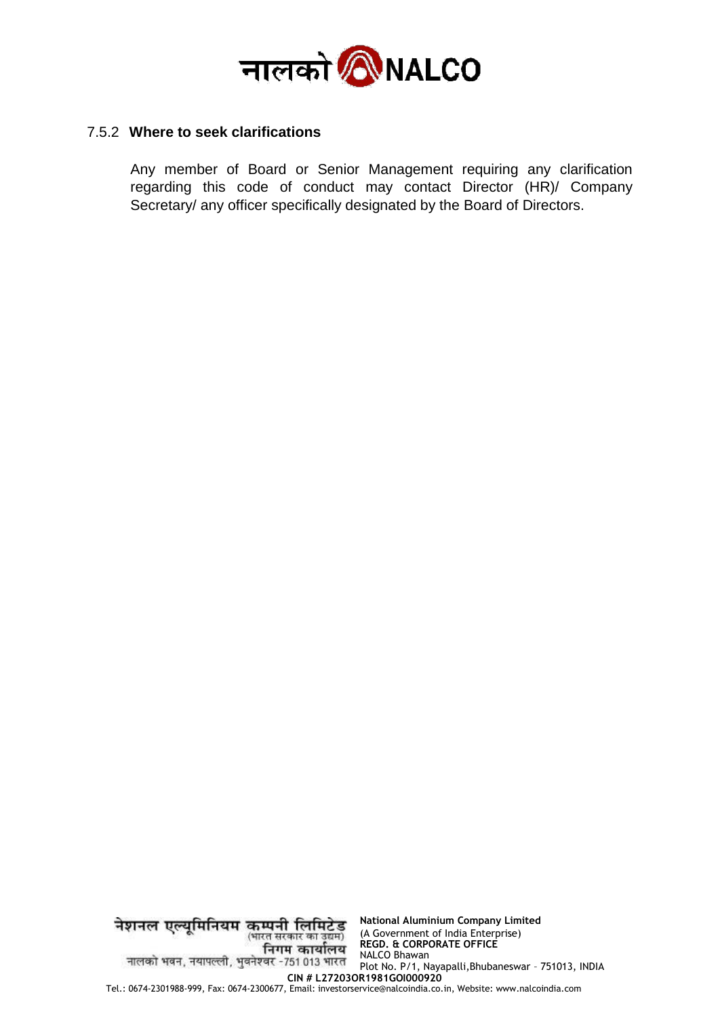

### 7.5.2 **Where to seek clarifications**

Any member of Board or Senior Management requiring any clarification regarding this code of conduct may contact Director (HR)/ Company Secretary/ any officer specifically designated by the Board of Directors.

**National Aluminium Company Limited** नेशनल एल्युमिनियम कम्पनी लिमिटेड (A Government of India Enterprise) (भारत सरकार का उद्यम) **REGD. & CORPORATE OFFICE** निगम कार्यालय NALCO Bhawan नालको भवन, नयापल्ली, भुवनेश्वर -751 013 भारत Plot No. P/1, Nayapalli,Bhubaneswar – 751013, INDIA **CIN # L27203OR1981GOI000920** Tel.: 0674-2301988-999, Fax: 0674-2300677, Email: investorservice@nalcoindia.co.in, Website: www.nalcoindia.com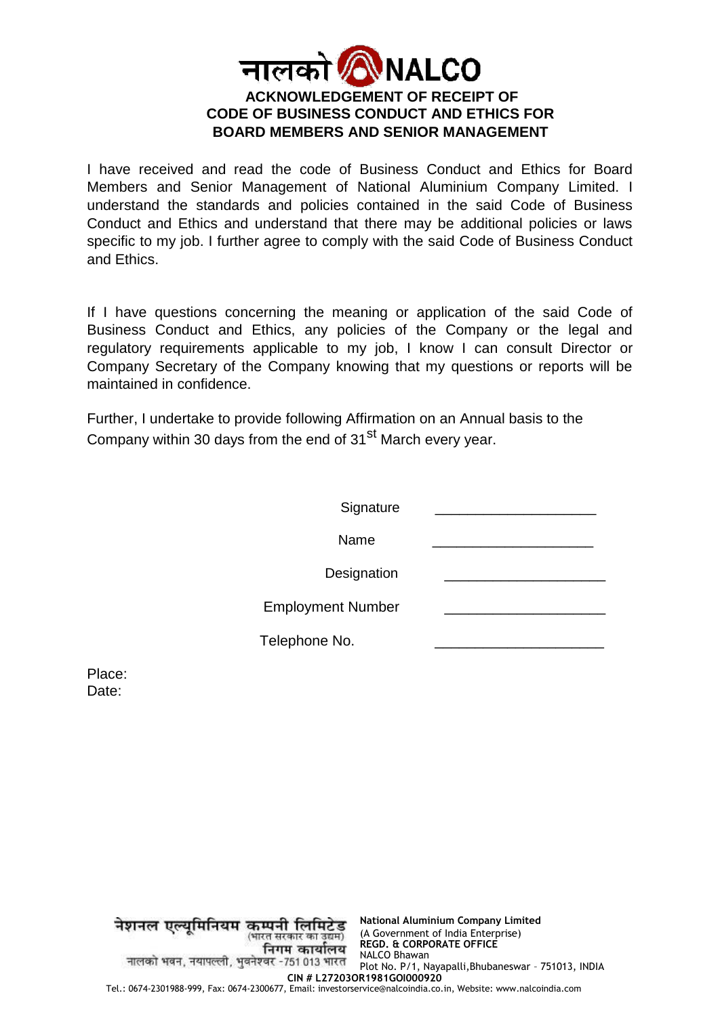

I have received and read the code of Business Conduct and Ethics for Board Members and Senior Management of National Aluminium Company Limited. I understand the standards and policies contained in the said Code of Business Conduct and Ethics and understand that there may be additional policies or laws specific to my job. I further agree to comply with the said Code of Business Conduct and Ethics.

If I have questions concerning the meaning or application of the said Code of Business Conduct and Ethics, any policies of the Company or the legal and regulatory requirements applicable to my job, I know I can consult Director or Company Secretary of the Company knowing that my questions or reports will be maintained in confidence.

Further, I undertake to provide following Affirmation on an Annual basis to the Company within 30 days from the end of 31<sup>st</sup> March every year.

| Signature                |  |
|--------------------------|--|
| Name                     |  |
| Designation              |  |
| <b>Employment Number</b> |  |
| Telephone No.            |  |

Place: Date: